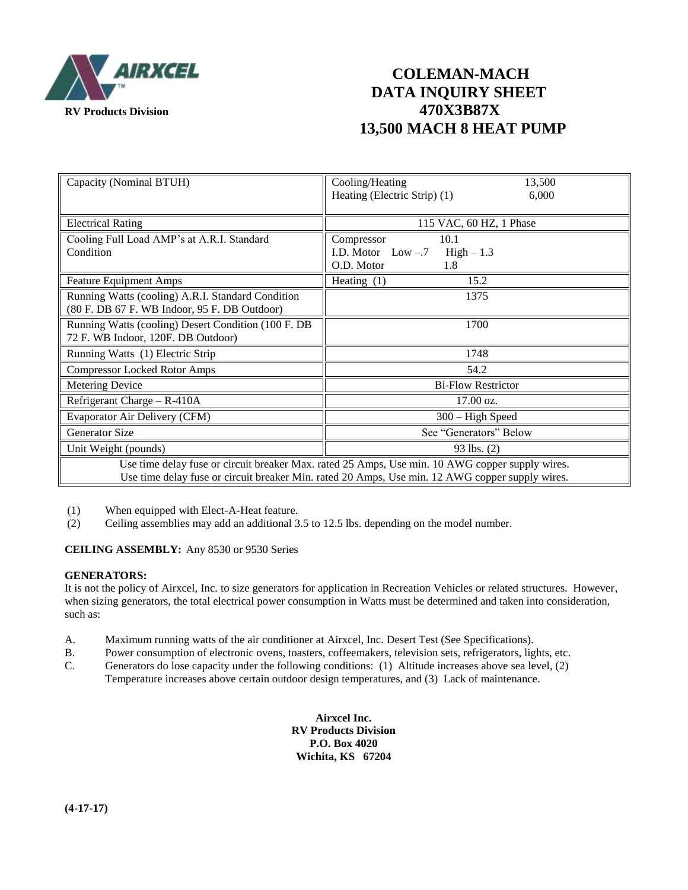

## **COLEMAN-MACH DATA INQUIRY SHEET RV Products Division 470X3B87X 13,500 MACH 8 HEAT PUMP**

| Capacity (Nominal BTUH)                                                                                                                                                                            | Cooling/Heating<br>13,500<br>Heating (Electric Strip) (1)<br>6,000           |
|----------------------------------------------------------------------------------------------------------------------------------------------------------------------------------------------------|------------------------------------------------------------------------------|
| <b>Electrical Rating</b>                                                                                                                                                                           | 115 VAC, 60 HZ, 1 Phase                                                      |
| Cooling Full Load AMP's at A.R.I. Standard<br>Condition                                                                                                                                            | 10.1<br>Compressor<br>I.D. Motor $Low - .7$ High $-1.3$<br>O.D. Motor<br>1.8 |
| <b>Feature Equipment Amps</b>                                                                                                                                                                      | Heating $(1)$<br>15.2                                                        |
| Running Watts (cooling) A.R.I. Standard Condition<br>(80 F. DB 67 F. WB Indoor, 95 F. DB Outdoor)                                                                                                  | 1375                                                                         |
| Running Watts (cooling) Desert Condition (100 F. DB<br>72 F. WB Indoor, 120F. DB Outdoor)                                                                                                          | 1700                                                                         |
| Running Watts (1) Electric Strip                                                                                                                                                                   | 1748                                                                         |
| <b>Compressor Locked Rotor Amps</b>                                                                                                                                                                | 54.2                                                                         |
| <b>Metering Device</b>                                                                                                                                                                             | <b>Bi-Flow Restrictor</b>                                                    |
| Refrigerant Charge – R-410A                                                                                                                                                                        | $17.00 \text{ oz.}$                                                          |
| Evaporator Air Delivery (CFM)                                                                                                                                                                      | $300 - High Speed$                                                           |
| Generator Size                                                                                                                                                                                     | See "Generators" Below                                                       |
| Unit Weight (pounds)                                                                                                                                                                               | 93 lbs. (2)                                                                  |
| Use time delay fuse or circuit breaker Max. rated 25 Amps, Use min. 10 AWG copper supply wires.<br>Use time delay fuse or circuit breaker Min. rated 20 Amps, Use min. 12 AWG copper supply wires. |                                                                              |

(1) When equipped with Elect-A-Heat feature.

(2) Ceiling assemblies may add an additional 3.5 to 12.5 lbs. depending on the model number.

#### **CEILING ASSEMBLY:** Any 8530 or 9530 Series

#### **GENERATORS:**

It is not the policy of Airxcel, Inc. to size generators for application in Recreation Vehicles or related structures. However, when sizing generators, the total electrical power consumption in Watts must be determined and taken into consideration, such as:

- A. Maximum running watts of the air conditioner at Airxcel, Inc. Desert Test (See Specifications).
- B. Power consumption of electronic ovens, toasters, coffeemakers, television sets, refrigerators, lights, etc.
- C. Generators do lose capacity under the following conditions: (1) Altitude increases above sea level, (2) Temperature increases above certain outdoor design temperatures, and (3) Lack of maintenance.

**Airxcel Inc. RV Products Division P.O. Box 4020 Wichita, KS 67204**